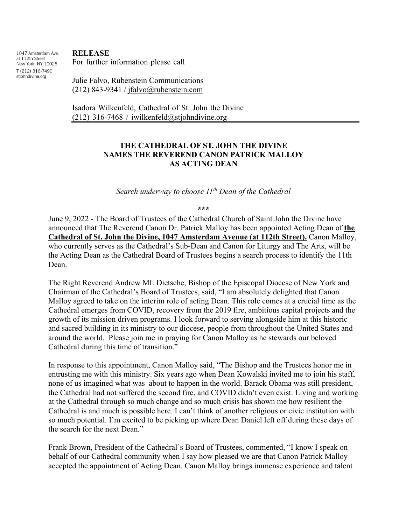1047 Amsterdam Ave. at 112th Street New York, NY 10025 T (212) 316-7490 stjohndivine.org

**RELEASE**

For further information please call

Julie Falvo, Rubenstein Communications  $(212)$  843-9341 / jfalvo@rubenstein.com

Isadora Wilkenfeld, Cathedral of St. John the Divine (212) 316-7468 / iwilkenfeld@stjohndivine.org

## **THE CATHEDRAL OF ST. JOHN THE DIVINE NAMES THE REVEREND CANON PATRICK MALLOY AS ACTING DEAN**

*Search underway to choose 11th Dean of the Cathedral*

**\*\*\***

June 9, 2022 - The Board of Trustees of the Cathedral Church of Saint John the Divine have announced that The Reverend Canon Dr. Patrick Malloy has been appointed Acting Dean of **the Cathedral of St. John the Divine, 1047 Amsterdam Avenue (at 112th Street).** Canon Malloy, who currently serves as the Cathedral's Sub-Dean and Canon for Liturgy and The Arts, will be the Acting Dean as the Cathedral Board of Trustees begins a search process to identify the 11th Dean.

The Right Reverend Andrew ML Dietsche, Bishop of the Episcopal Diocese of New York and Chairman of the Cathedral's Board of Trustees, said, "I am absolutely delighted that Canon Malloy agreed to take on the interim role of acting Dean. This role comes at a crucial time as the Cathedral emerges from COVID, recovery from the 2019 fire, ambitious capital projects and the growth of its mission driven programs. I look forward to serving alongside him at this historic and sacred building in its ministry to our diocese, people from throughout the United States and around the world. Please join me in praying for Canon Malloy as he stewards our beloved Cathedral during this time of transition."

In response to this appointment, Canon Malloy said, "The Bishop and the Trustees honor me in entrusting me with this ministry. Six years ago when Dean Kowalski invited me to join his staff, none of us imagined what was about to happen in the world. Barack Obama was still president, the Cathedral had not suffered the second fire, and COVID didn't even exist. Living and working at the Cathedral through so much change and so much crisis has shown me how resilient the Cathedral is and much is possible here. I can't think of another religious or civic institution with so much potential. I'm excited to be picking up where Dean Daniel left off during these days of the search for the next Dean."

Frank Brown, President of the Cathedral's Board of Trustees, commented, "I know I speak on behalf of our Cathedral community when I say how pleased we are that Canon Patrick Malloy accepted the appointment of Acting Dean. Canon Malloy brings immense experience and talent